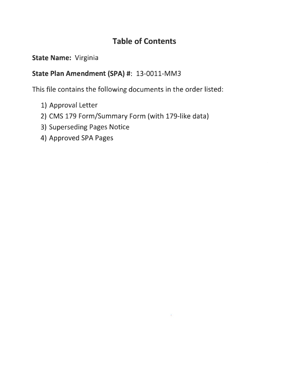# **Table of Contents**

 $\pm$ 

## **State Name:** Virginia

## **State Plan Amendment (SPA)#:** 13-0011-MM3

This file contains the following documents in the order listed:

- 1) Approval Letter
- 2) CMS 179 Form/Summary Form (with 179-like data)
- 3} Superseding Pages Notice
- 4) Approved SPA Pages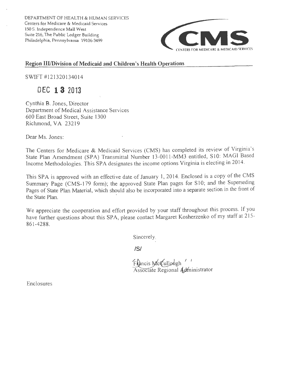DEPARTMENT OF HEALTH & HUMAN SERVICES Centers for Medicare & Medicaid Services 150 S. Independence Mall West Suite 216, The Public Ledger Building



## **Region Ill/Division of Medicaid and Children's Health Operations**

SWIFT #121320134014

**DEC 13 2013** 

Cynthia **B.** Jones, Director Department of Medical Assistance Services 600 East Broad Street, Suite 1300 Richmond, VA 23219

Dear Ms. Jones:

The Centers for Medicare & Medicaid Services (CMS) has completed its review of Virginia's State Plan Amendment (SPA) Transmittal Number 13-0011-MM3 entitled, SlO: MAGI Based Income Methodologies. This SPA designates the income options Virginia is electing in 2014.

This SPA is approved with an effective date of January 1, 2014. Enclosed is a copy of the CMS Summary Page (CMS-179 form); the approved State Plan pages for S10; and the Superseding Pages of State Plan Material, which should also be incorporated into a separate section in the front of the State Plan.

We appreciate the cooperation and effort provided by your staff throughout this process. If you have further questions about this SPA, please contact Margaret Kosherzenko of my staff at 215- 861-4288 .

/S/

Sincerely,<br>  $/ S/$ <br>
Francis McCullough Associate Regional Administrator

Enclosures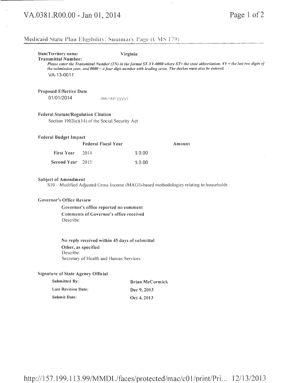## VA.0381.R00.00 - Jan 01, 2014 Page 1 of 2

### Medicaid State Plan Eligibility: Summary Page (CMS 179)

#### State/Territory name: Virginia Transmittal Number:

*Please enter the Transmittal Number (TN) in the format ST- YY-0000 where ST= the state abbreviation, YY =the last two digits of the submission year, and 0000* = *a four digit number with leading zeros. The dashes must also be entered.*  VA-13-0011

Amount

#### Proposed Effective Date

01/01/2014 *(mm /dd/yyyy)* 

#### Federal Statute/Regulation Citation

Section  $1902(e)(14)$  of the Social Security Act

#### Federal Budget Impact

|                  | <b>Federal Fiscal Year</b> |        |
|------------------|----------------------------|--------|
| First Year 2014  |                            | \$0.00 |
| Second Year 2015 |                            | \$0.00 |

#### Subject of Amendment

S10 - Modified Adjusted Gross Income (MAGI)-based methodologies relating to households

#### Governor's Office Review

Governor's office reported no comment Comments of Governor's office received Describe:

No reply received within 45 days of submittal Other, as specified Describe: Secretary of Health and Human Services

#### Signature of State Agency Official

| <b>Submitted By:</b>       | <b>Brian McCormick</b> |
|----------------------------|------------------------|
| <b>Last Revision Date:</b> | Dec 9, 2013            |
| <b>Submit Date:</b>        | Oct 4, 2013            |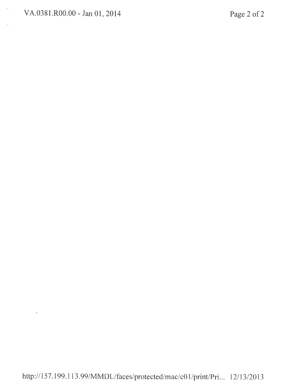$\cdot$ 

 $\epsilon$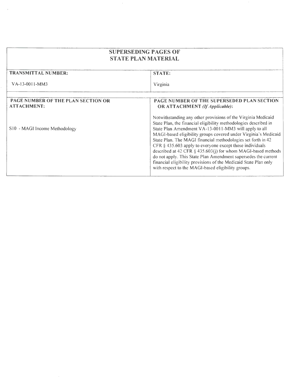| <b>SUPERSEDING PAGES OF</b><br><b>STATE PLAN MATERIAL</b>       |                                                                                                                                                                                                                                                                                                                                                                                                                                                                                                                                                                                                                                                       |  |  |
|-----------------------------------------------------------------|-------------------------------------------------------------------------------------------------------------------------------------------------------------------------------------------------------------------------------------------------------------------------------------------------------------------------------------------------------------------------------------------------------------------------------------------------------------------------------------------------------------------------------------------------------------------------------------------------------------------------------------------------------|--|--|
| <b>TRANSMITTAL NUMBER:</b>                                      | <b>STATE:</b>                                                                                                                                                                                                                                                                                                                                                                                                                                                                                                                                                                                                                                         |  |  |
| $VA-13-0011-MM3$                                                | Virginia                                                                                                                                                                                                                                                                                                                                                                                                                                                                                                                                                                                                                                              |  |  |
|                                                                 |                                                                                                                                                                                                                                                                                                                                                                                                                                                                                                                                                                                                                                                       |  |  |
| <b>PAGE NUMBER OF THE PLAN SECTION OR</b><br><b>ATTACHMENT:</b> | <b>PAGE NUMBER OF THE SUPERSEDED PLAN SECTION</b><br>OR ATTACHMENT (If Applicable):                                                                                                                                                                                                                                                                                                                                                                                                                                                                                                                                                                   |  |  |
| S10 - MAGI Income Methodology                                   | Notwithstanding any other provisions of the Virginia Medicaid<br>State Plan, the financial eligibility methodologies described in<br>State Plan Amendment VA-13-0011-MM3 will apply to all<br>MAGI-based eligibility groups covered under Virginia's Medicaid<br>State Plan. The MAGI financial methodologies set forth in 42<br>CFR § 435.603 apply to everyone except those individuals<br>described at 42 CFR § 435.603(j) for whom MAGI-based methods<br>do not apply. This State Plan Amendment supersedes the current<br>financial eligibility provisions of the Medicaid State Plan only<br>with respect to the MAGI-based eligibility groups. |  |  |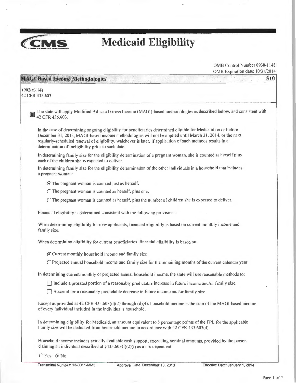

# **Medicaid Eligibility**

OMB Control Number 0938-1148 OMB Expiration date: 10/31/2014

| OMB Expiration date: $10/31/2014$<br><b>MAGI-Based Income Methodologies</b><br><b>S10</b>                                                                                                                                                                                                                                                                                                       |  |  |
|-------------------------------------------------------------------------------------------------------------------------------------------------------------------------------------------------------------------------------------------------------------------------------------------------------------------------------------------------------------------------------------------------|--|--|
| 1902(e)(14)<br>42 CFR 435.603                                                                                                                                                                                                                                                                                                                                                                   |  |  |
| The state will apply Modified Adjusted Gross Income (MAGI)-based methodologies as described below, and consistent with<br>Е<br>42 CFR 435.603.                                                                                                                                                                                                                                                  |  |  |
| In the case of determining ongoing eligibility for beneficiaries determined eligible for Medicaid on or before<br>December 31, 2013, MAGI-based income methodologies will not be applied until March 31, 2014, or the next<br>regularly-scheduled renewal of eligibility, whichever is later, if application of such methods results in a<br>determination of ineligibility prior to such date. |  |  |
| In determining family size for the eligibility determination of a pregnant woman, she is counted as herself plus<br>each of the children she is expected to deliver.                                                                                                                                                                                                                            |  |  |
| In determining family size for the eligibility determination of the other individuals in a household that includes<br>a pregnant woman:                                                                                                                                                                                                                                                         |  |  |
| The pregnant woman is counted just as herself.                                                                                                                                                                                                                                                                                                                                                  |  |  |
| C The pregnant woman is counted as herself, plus one.                                                                                                                                                                                                                                                                                                                                           |  |  |
| $\cap$ The pregnant woman is counted as herself, plus the number of children she is expected to deliver.                                                                                                                                                                                                                                                                                        |  |  |
| Financial eligibility is determined consistent with the following provisions:                                                                                                                                                                                                                                                                                                                   |  |  |
| When determining eligibility for new applicants, financial eligibility is based on current monthly income and<br>family size.                                                                                                                                                                                                                                                                   |  |  |
| When determining eligibility for current beneficiaries, financial eligibility is based on:                                                                                                                                                                                                                                                                                                      |  |  |
| ← Current monthly household income and family size                                                                                                                                                                                                                                                                                                                                              |  |  |
| C Projected annual household income and family size for the remaining months of the current calendar year                                                                                                                                                                                                                                                                                       |  |  |
| In determining current monthly or projected annual household income, the state will use reasonable methods to:                                                                                                                                                                                                                                                                                  |  |  |
| Include a prorated portion of a reasonably predictable increase in future income and/or family size.                                                                                                                                                                                                                                                                                            |  |  |
| $\Box$ Account for a reasonably predictable decrease in future income and/or family size.                                                                                                                                                                                                                                                                                                       |  |  |
| Except as provided at 42 CFR 435.603(d)(2) through (d)(4), household income is the sum of the MAGI-based income<br>of every individual included in the individual's household.                                                                                                                                                                                                                  |  |  |
| In determining eligibility for Medicaid, an amount equivalent to 5 percentage points of the FPL for the applicable<br>family size will be deducted from household income in accordance with 42 CFR 435.603(d).                                                                                                                                                                                  |  |  |
| Household income includes actually available cash support, exceeding nominal amounts, provided by the person<br>claiming an individual described at $§435.603(f)(2)(i)$ as a tax dependent.                                                                                                                                                                                                     |  |  |
| $CYes$ $@No$                                                                                                                                                                                                                                                                                                                                                                                    |  |  |
|                                                                                                                                                                                                                                                                                                                                                                                                 |  |  |